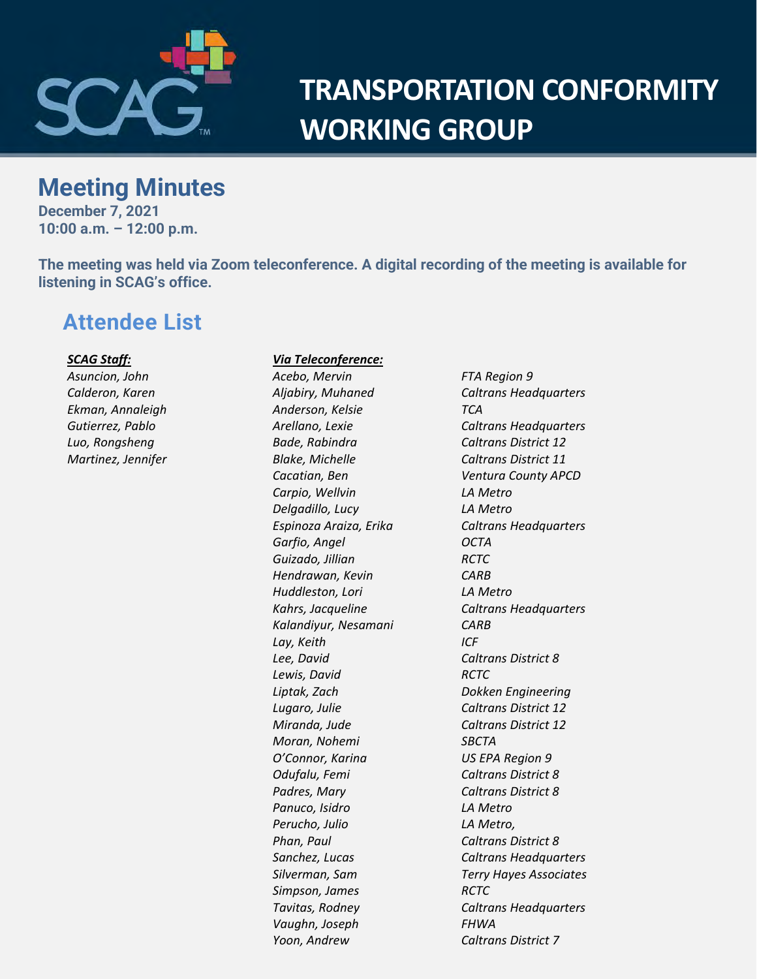

# **TRANSPORTATION CONFORMITY WORKING GROUP**

# **Meeting Minutes**

**December 7, 2021 10:00 a.m. – 12:00 p.m.**

**The meeting was held via Zoom teleconference. A digital recording of the meeting is available for listening in SCAG's office.**

# **Attendee List**

#### *SCAG Staff:*

*Asuncion, John Calderon, Karen Ekman, Annaleigh Gutierrez, Pablo Luo, Rongsheng Martinez, Jennifer*

#### *Via Teleconference:*

*Acebo, Mervin FTA Region 9 Anderson, Kelsie TCA Bade, Rabindra Caltrans District 12 Blake, Michelle Caltrans District 11 Carpio, Wellvin LA Metro Delgadillo, Lucy LA Metro Garfio, Angel OCTA Guizado, Jillian RCTC Hendrawan, Kevin CARB Huddleston, Lori LA Metro Kalandiyur, Nesamani CARB Lay, Keith ICF Lee, David Caltrans District 8 Lewis, David RCTC Liptak, Zach Dokken Engineering Lugaro, Julie Caltrans District 12 Miranda, Jude Caltrans District 12 Moran, Nohemi SBCTA O'Connor, Karina US EPA Region 9 Odufalu, Femi Caltrans District 8 Padres, Mary Caltrans District 8 Panuco, Isidro LA Metro Perucho, Julio LA Metro, Phan, Paul Caltrans District 8 Simpson, James RCTC Vaughn, Joseph FHWA Yoon, Andrew Caltrans District 7*

*Aljabiry, Muhaned Caltrans Headquarters Arellano, Lexie Caltrans Headquarters Cacatian, Ben Ventura County APCD Espinoza Araiza, Erika Caltrans Headquarters Kahrs, Jacqueline Caltrans Headquarters Sanchez, Lucas Caltrans Headquarters Silverman, Sam Terry Hayes Associates Tavitas, Rodney Caltrans Headquarters*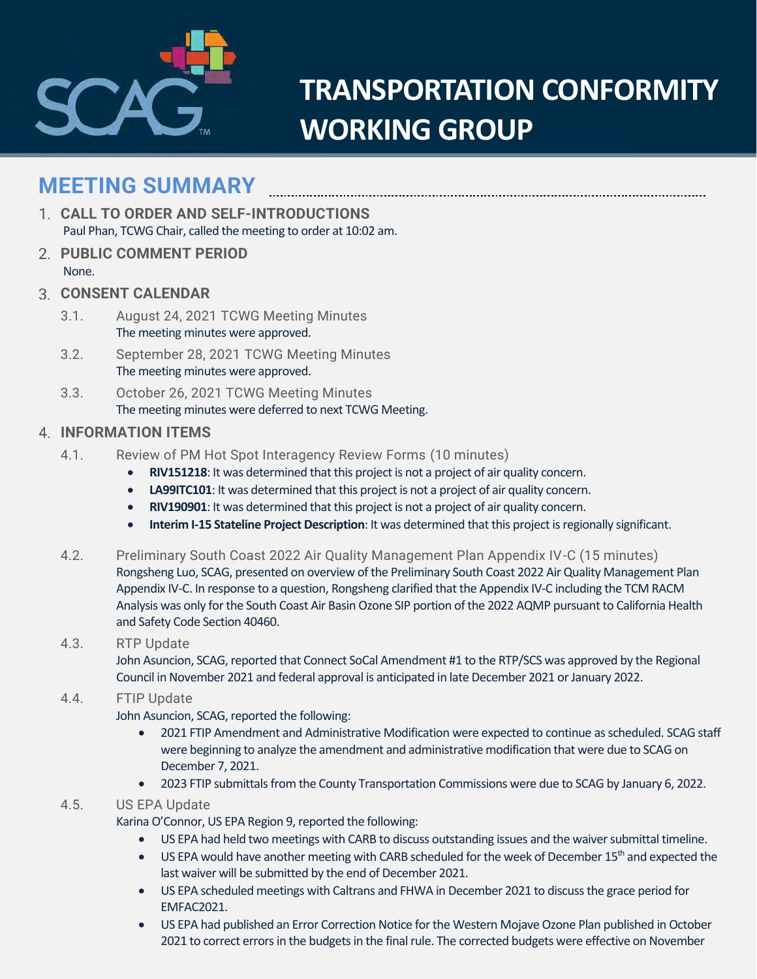

# **TRANSPORTATION CONFORMITY WORKING GROUP**

# **MEETING SUMMARY**

- **CALL TO ORDER AND SELF-INTRODUCTIONS** Paul Phan, TCWG Chair, called the meeting to order at 10:02 am.
- **PUBLIC COMMENT PERIOD** None.
- **CONSENT CALENDAR**
	- 3.1. August 24, 2021 TCWG Meeting Minutes The meeting minutes were approved.
	- 3.2. September 28, 2021 TCWG Meeting Minutes The meeting minutes were approved.
	- 3.3. October 26, 2021 TCWG Meeting Minutes The meeting minutes were deferred to next TCWG Meeting.

## **INFORMATION ITEMS**

- 4.1. Review of PM Hot Spot Interagency Review Forms (10 minutes)
	- **RIV151218**: It was determined that this project is not a project of air quality concern.
	- **LA99ITC101**: It was determined that this project is not a project of air quality concern.
	- **RIV190901**: It was determined that this project is not a project of air quality concern.
	- **Interim I-15 Stateline Project Description**: It was determined that this project is regionally significant.
- 4.2. Preliminary South Coast 2022 Air Quality Management Plan Appendix IV-C (15 minutes) Rongsheng Luo, SCAG, presented on overview of the Preliminary South Coast 2022 Air Quality Management Plan Appendix IV-C. In response to a question, Rongsheng clarified that the Appendix IV-C including the TCM RACM Analysis was only for the South Coast Air Basin Ozone SIP portion of the 2022 AQMP pursuant to California Health and Safety Code Section 40460.

# 4.3. RTP Update

John Asuncion, SCAG, reported that Connect SoCal Amendment #1 to the RTP/SCS was approved by the Regional Council in November 2021 and federal approval is anticipated in late December 2021 or January 2022.

# 4.4. FTIP Update

John Asuncion, SCAG, reported the following:

- 2021 FTIP Amendment and Administrative Modification were expected to continue as scheduled. SCAG staff were beginning to analyze the amendment and administrative modification that were due to SCAG on December 7, 2021.
- 2023 FTIP submittals from the County Transportation Commissions were due to SCAG by January 6, 2022.

# 4.5. US EPA Update

Karina O'Connor, US EPA Region 9, reported the following:

- US EPA had held two meetings with CARB to discuss outstanding issues and the waiver submittal timeline.
- US EPA would have another meeting with CARB scheduled for the week of December 15<sup>th</sup> and expected the last waiver will be submitted by the end of December 2021.
- US EPA scheduled meetings with Caltrans and FHWA in December 2021 to discuss the grace period for EMFAC2021.
- US EPA had published an Error Correction Notice for the Western Mojave Ozone Plan published in October 2021 to correct errors in the budgets in the final rule. The corrected budgets were effective on November